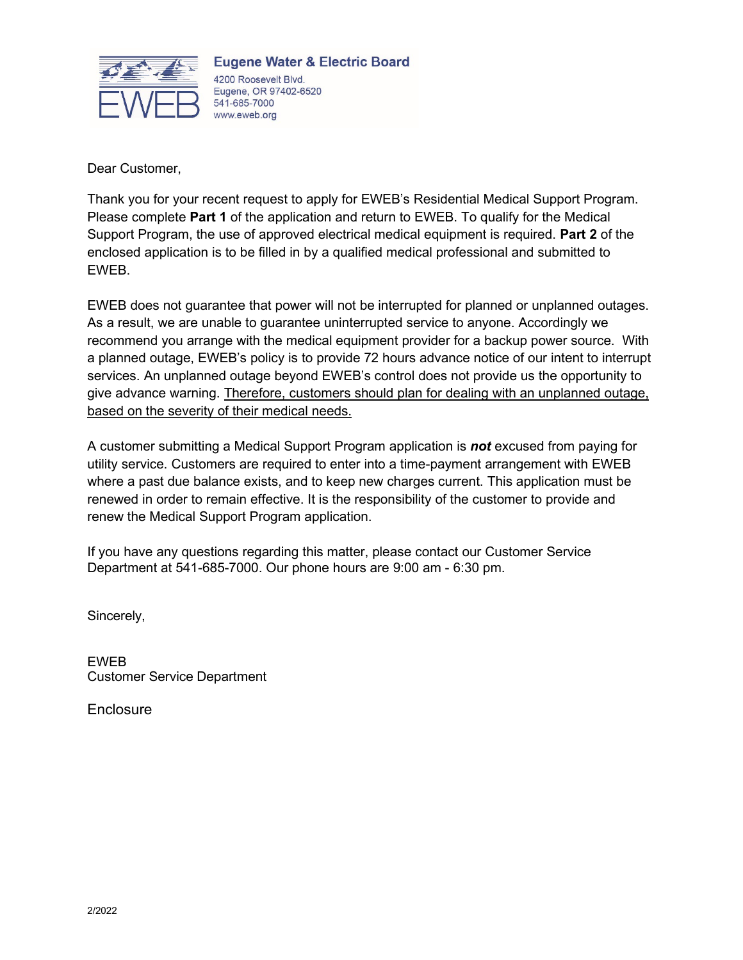

**Eugene Water & Electric Board** 4200 Roosevelt Blvd. Eugene, OR 97402-6520 541-685-7000 www.eweb.org

Dear Customer,

Thank you for your recent request to apply for EWEB's Residential Medical Support Program. Please complete **Part 1** of the application and return to EWEB. To qualify for the Medical Support Program, the use of approved electrical medical equipment is required. **Part 2** of the enclosed application is to be filled in by a qualified medical professional and submitted to EWEB.

EWEB does not guarantee that power will not be interrupted for planned or unplanned outages. As a result, we are unable to guarantee uninterrupted service to anyone. Accordingly we recommend you arrange with the medical equipment provider for a backup power source. With a planned outage, EWEB's policy is to provide 72 hours advance notice of our intent to interrupt services. An unplanned outage beyond EWEB's control does not provide us the opportunity to give advance warning. Therefore, customers should plan for dealing with an unplanned outage, based on the severity of their medical needs.

A customer submitting a Medical Support Program application is *not* excused from paying for utility service. Customers are required to enter into a time-payment arrangement with EWEB where a past due balance exists, and to keep new charges current. This application must be renewed in order to remain effective. It is the responsibility of the customer to provide and renew the Medical Support Program application.

If you have any questions regarding this matter, please contact our Customer Service Department at 541-685-7000. Our phone hours are 9:00 am - 6:30 pm.

Sincerely,

EWEB Customer Service Department

**Enclosure**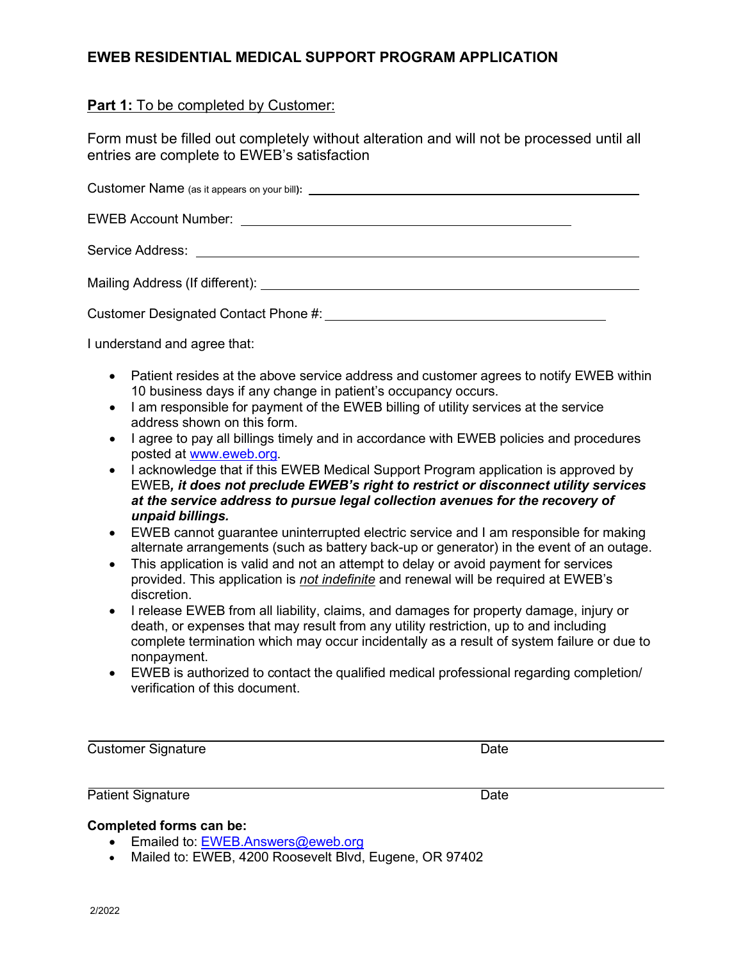## **EWEB RESIDENTIAL MEDICAL SUPPORT PROGRAM APPLICATION**

### **Part 1:** To be completed by Customer:

Form must be filled out completely without alteration and will not be processed until all entries are complete to EWEB's satisfaction

| Customer Designated Contact Phone #: Letter Management Customer Designated Contact Phone #: |  |
|---------------------------------------------------------------------------------------------|--|

I understand and agree that:

- Patient resides at the above service address and customer agrees to notify EWEB within 10 business days if any change in patient's occupancy occurs.
- I am responsible for payment of the EWEB billing of utility services at the service address shown on this form.
- I agree to pay all billings timely and in accordance with EWEB policies and procedures posted at [www.eweb.org.](http://www.eweb.org/)
- I acknowledge that if this EWEB Medical Support Program application is approved by EWEB*, it does not preclude EWEB's right to restrict or disconnect utility services at the service address to pursue legal collection avenues for the recovery of unpaid billings.*
- EWEB cannot guarantee uninterrupted electric service and I am responsible for making alternate arrangements (such as battery back-up or generator) in the event of an outage.
- This application is valid and not an attempt to delay or avoid payment for services provided. This application is *not indefinite* and renewal will be required at EWEB's discretion.
- I release EWEB from all liability, claims, and damages for property damage, injury or death, or expenses that may result from any utility restriction, up to and including complete termination which may occur incidentally as a result of system failure or due to nonpayment.
- EWEB is authorized to contact the qualified medical professional regarding completion/ verification of this document.

**Customer Signature Date** 

Patient Signature Date

### **Completed forms can be:**

- Emailed to: [EWEB.Answers@eweb.org](mailto:EWEB.Answers@eweb.org)
- Mailed to: EWEB, 4200 Roosevelt Blvd, Eugene, OR 97402